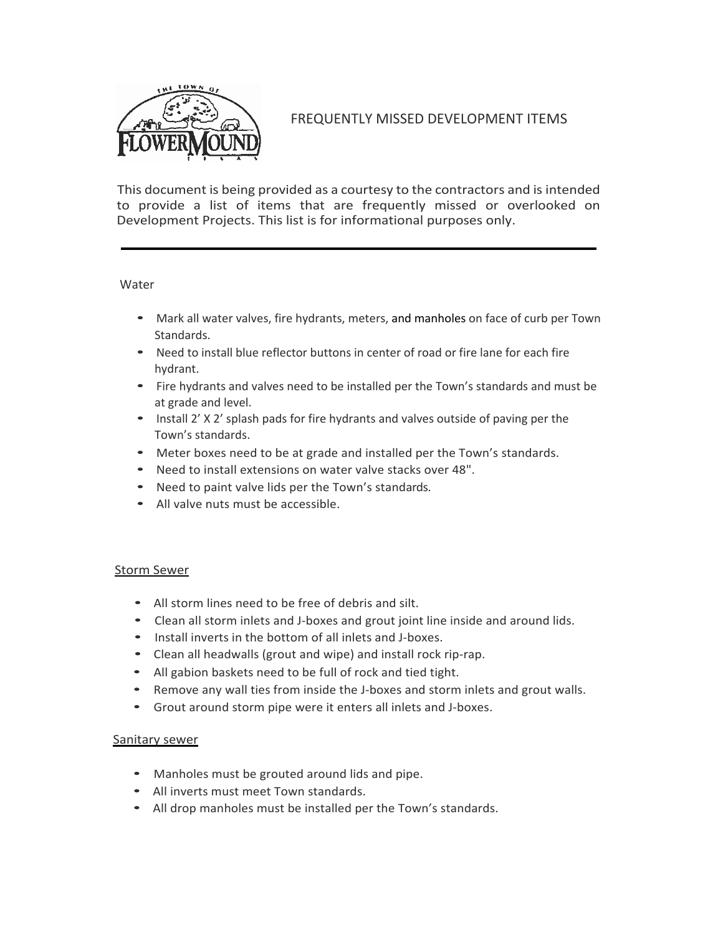

# FREQUENTLY MISSED DEVELOPMENT ITEMS

This document is being provided as a courtesy to the contractors and is intended to provide a list of items that are frequently missed or overlooked on Development Projects. This list is for informational purposes only.

#### **Water**

- Mark all water valves, fire hydrants, meters, and manholes on face of curb per Town Standards.
- Need to install blue reflector buttons in center of road or fire lane for each fire hydrant.
- Fire hydrants and valves need to be installed per the Town's standards and must be at grade and level.
- Install 2' X 2' splash pads for fire hydrants and valves outside of paving per the Town's standards.
- Meter boxes need to be at grade and installed per the Town's standards.
- Need to install extensions on water valve stacks over 48".
- Need to paint valve lids per the Town's standards.
- All valve nuts must be accessible.

# Storm Sewer

- All storm lines need to be free of debris and silt.
- Clean all storm inlets and J-boxes and grout joint line inside and around lids.
- Install inverts in the bottom of all inlets and J-boxes.
- Clean all headwalls (grout and wipe) and install rock rip-rap.
- All gabion baskets need to be full of rock and tied tight.
- Remove any wall ties from inside the J-boxes and storm inlets and grout walls.
- Grout around storm pipe were it enters all inlets and J-boxes.

# Sanitary sewer

- Manholes must be grouted around lids and pipe.
- All inverts must meet Town standards.
- All drop manholes must be installed per the Town's standards.